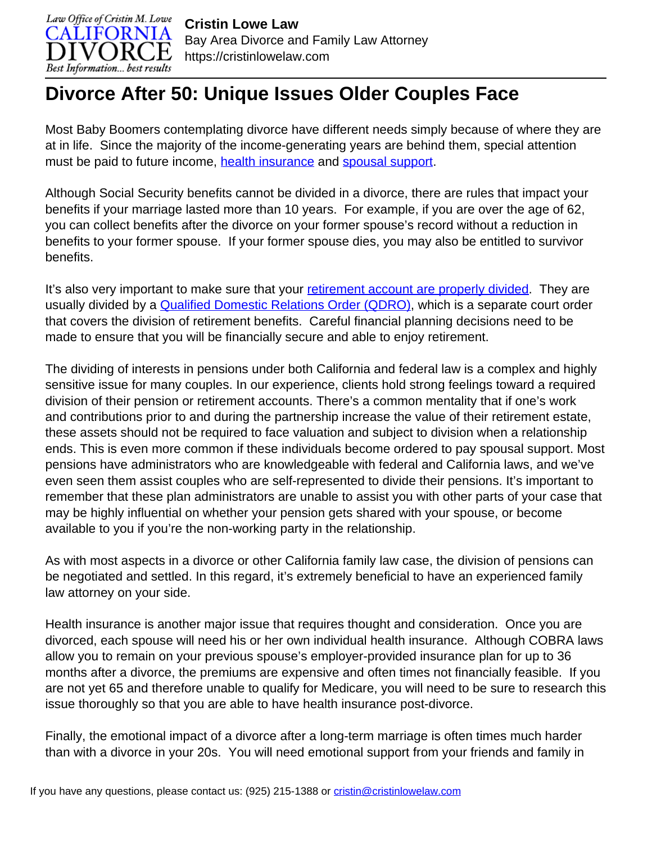

## **Divorce After 50: Unique Issues Older Couples Face**

Most Baby Boomers contemplating divorce have different needs simply because of where they are at in life. Since the majority of the income-generating years are behind them, special attention must be paid to future income, [health insurance](https://cristinlowelaw.com/how-do-health-insurance-costs-factor-into-california-child-support/) and [spousal support.](https://cristinlowelaw.com/practice-areas/spousal-support/)

Although Social Security benefits cannot be divided in a divorce, there are rules that impact your benefits if your marriage lasted more than 10 years. For example, if you are over the age of 62, you can collect benefits after the divorce on your former spouse's record without a reduction in benefits to your former spouse. If your former spouse dies, you may also be entitled to survivor benefits.

It's also very important to make sure that your [retirement account are properly divided.](https://cristinlowelaw.com/the-basics-of-retirement-plan-division/) They are usually divided by a **Qualified Domestic Relations Order (QDRO)**, which is a separate court order that covers the division of retirement benefits. Careful financial planning decisions need to be made to ensure that you will be financially secure and able to enjoy retirement.

The dividing of interests in pensions under both California and federal law is a complex and highly sensitive issue for many couples. In our experience, clients hold strong feelings toward a required division of their pension or retirement accounts. There's a common mentality that if one's work and contributions prior to and during the partnership increase the value of their retirement estate, these assets should not be required to face valuation and subject to division when a relationship ends. This is even more common if these individuals become ordered to pay spousal support. Most pensions have administrators who are knowledgeable with federal and California laws, and we've even seen them assist couples who are self-represented to divide their pensions. It's important to remember that these plan administrators are unable to assist you with other parts of your case that may be highly influential on whether your pension gets shared with your spouse, or become available to you if you're the non-working party in the relationship.

As with most aspects in a divorce or other California family law case, the division of pensions can be negotiated and settled. In this regard, it's extremely beneficial to have an experienced family law attorney on your side.

Health insurance is another major issue that requires thought and consideration. Once you are divorced, each spouse will need his or her own individual health insurance. Although COBRA laws allow you to remain on your previous spouse's employer-provided insurance plan for up to 36 months after a divorce, the premiums are expensive and often times not financially feasible. If you are not yet 65 and therefore unable to qualify for Medicare, you will need to be sure to research this issue thoroughly so that you are able to have health insurance post-divorce.

Finally, the emotional impact of a divorce after a long-term marriage is often times much harder than with a divorce in your 20s. You will need emotional support from your friends and family in